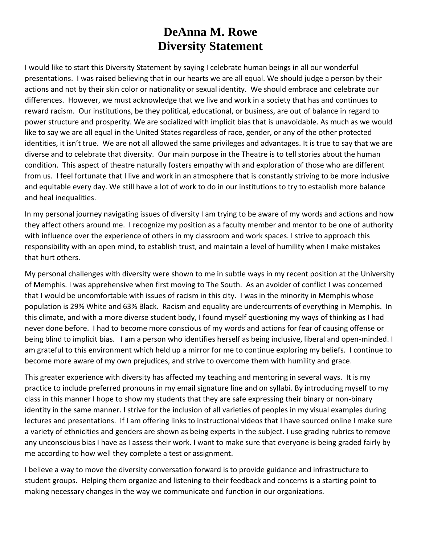## **DeAnna M. Rowe Diversity Statement**

I would like to start this Diversity Statement by saying I celebrate human beings in all our wonderful presentations. I was raised believing that in our hearts we are all equal. We should judge a person by their actions and not by their skin color or nationality or sexual identity. We should embrace and celebrate our differences. However, we must acknowledge that we live and work in a society that has and continues to reward racism. Our institutions, be they political, educational, or business, are out of balance in regard to power structure and prosperity. We are socialized with implicit bias that is unavoidable. As much as we would like to say we are all equal in the United States regardless of race, gender, or any of the other protected identities, it isn't true. We are not all allowed the same privileges and advantages. It is true to say that we are diverse and to celebrate that diversity. Our main purpose in the Theatre is to tell stories about the human condition. This aspect of theatre naturally fosters empathy with and exploration of those who are different from us. I feel fortunate that I live and work in an atmosphere that is constantly striving to be more inclusive and equitable every day. We still have a lot of work to do in our institutions to try to establish more balance and heal inequalities.

In my personal journey navigating issues of diversity I am trying to be aware of my words and actions and how they affect others around me. I recognize my position as a faculty member and mentor to be one of authority with influence over the experience of others in my classroom and work spaces. I strive to approach this responsibility with an open mind, to establish trust, and maintain a level of humility when I make mistakes that hurt others.

My personal challenges with diversity were shown to me in subtle ways in my recent position at the University of Memphis. I was apprehensive when first moving to The South. As an avoider of conflict I was concerned that I would be uncomfortable with issues of racism in this city. I was in the minority in Memphis whose population is 29% White and 63% Black. Racism and equality are undercurrents of everything in Memphis. In this climate, and with a more diverse student body, I found myself questioning my ways of thinking as I had never done before. I had to become more conscious of my words and actions for fear of causing offense or being blind to implicit bias. I am a person who identifies herself as being inclusive, liberal and open-minded. I am grateful to this environment which held up a mirror for me to continue exploring my beliefs. I continue to become more aware of my own prejudices, and strive to overcome them with humility and grace.

This greater experience with diversity has affected my teaching and mentoring in several ways. It is my practice to include preferred pronouns in my email signature line and on syllabi. By introducing myself to my class in this manner I hope to show my students that they are safe expressing their binary or non-binary identity in the same manner. I strive for the inclusion of all varieties of peoples in my visual examples during lectures and presentations. If I am offering links to instructional videos that I have sourced online I make sure a variety of ethnicities and genders are shown as being experts in the subject. I use grading rubrics to remove any unconscious bias I have as I assess their work. I want to make sure that everyone is being graded fairly by me according to how well they complete a test or assignment.

I believe a way to move the diversity conversation forward is to provide guidance and infrastructure to student groups. Helping them organize and listening to their feedback and concerns is a starting point to making necessary changes in the way we communicate and function in our organizations.